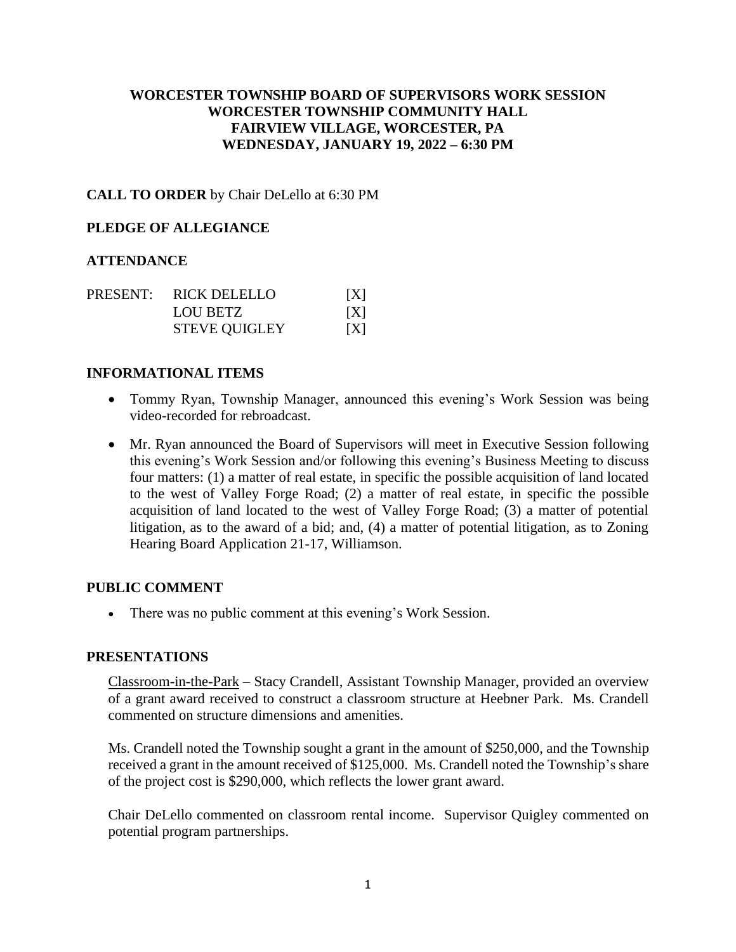# **WORCESTER TOWNSHIP BOARD OF SUPERVISORS WORK SESSION WORCESTER TOWNSHIP COMMUNITY HALL FAIRVIEW VILLAGE, WORCESTER, PA WEDNESDAY, JANUARY 19, 2022 – 6:30 PM**

## **CALL TO ORDER** by Chair DeLello at 6:30 PM

### **PLEDGE OF ALLEGIANCE**

## **ATTENDANCE**

|  | PRESENT: RICK DELELLO | X   |
|--|-----------------------|-----|
|  | LOU BETZ              | X   |
|  | <b>STEVE QUIGLEY</b>  | [X] |

### **INFORMATIONAL ITEMS**

- Tommy Ryan, Township Manager, announced this evening's Work Session was being video-recorded for rebroadcast.
- Mr. Ryan announced the Board of Supervisors will meet in Executive Session following this evening's Work Session and/or following this evening's Business Meeting to discuss four matters: (1) a matter of real estate, in specific the possible acquisition of land located to the west of Valley Forge Road; (2) a matter of real estate, in specific the possible acquisition of land located to the west of Valley Forge Road; (3) a matter of potential litigation, as to the award of a bid; and, (4) a matter of potential litigation, as to Zoning Hearing Board Application 21-17, Williamson.

### **PUBLIC COMMENT**

• There was no public comment at this evening's Work Session.

### **PRESENTATIONS**

Classroom-in-the-Park – Stacy Crandell, Assistant Township Manager, provided an overview of a grant award received to construct a classroom structure at Heebner Park. Ms. Crandell commented on structure dimensions and amenities.

Ms. Crandell noted the Township sought a grant in the amount of \$250,000, and the Township received a grant in the amount received of \$125,000. Ms. Crandell noted the Township's share of the project cost is \$290,000, which reflects the lower grant award.

Chair DeLello commented on classroom rental income. Supervisor Quigley commented on potential program partnerships.